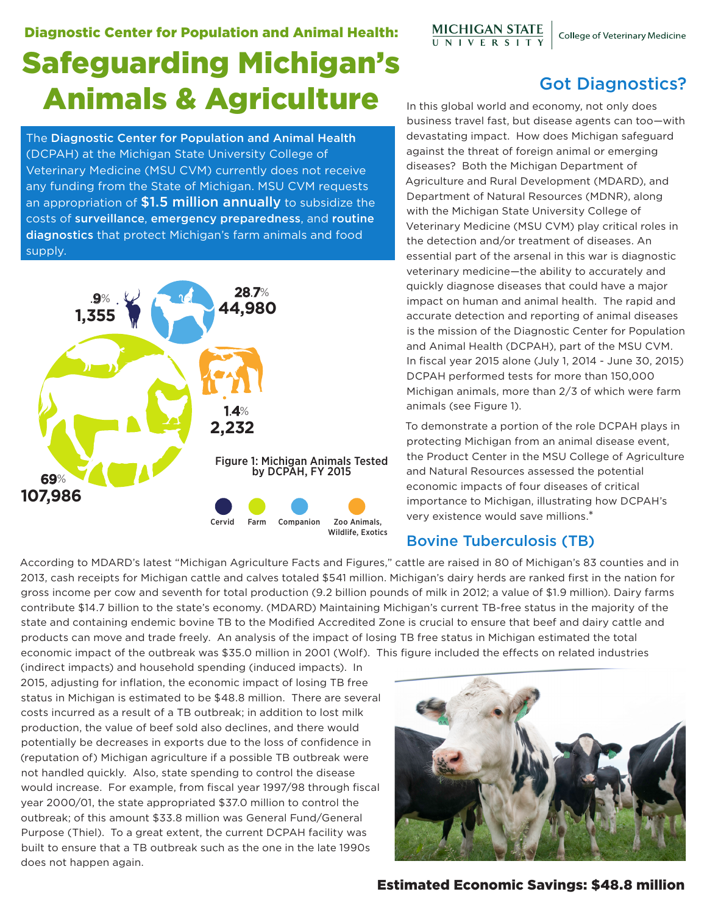## Diagnostic Center for Population and Animal Health: Safeguarding Michigan's Animals & Agriculture

The Diagnostic Center for Population and Animal Health (DCPAH) at the Michigan State University College of Veterinary Medicine (MSU CVM) currently does not receive any funding from the State of Michigan. MSU CVM requests an appropriation of \$1.5 million annually to subsidize the costs of surveillance, emergency preparedness, and routine diagnostics that protect Michigan's farm animals and food supply.



# MICHIGAN STATE<br>UNIVERSITY

Got Diagnostics?

In this global world and economy, not only does business travel fast, but disease agents can too—with devastating impact. How does Michigan safeguard against the threat of foreign animal or emerging diseases? Both the Michigan Department of Agriculture and Rural Development (MDARD), and Department of Natural Resources (MDNR), along with the Michigan State University College of Veterinary Medicine (MSU CVM) play critical roles in the detection and/or treatment of diseases. An essential part of the arsenal in this war is diagnostic veterinary medicine—the ability to accurately and quickly diagnose diseases that could have a major impact on human and animal health. The rapid and accurate detection and reporting of animal diseases is the mission of the Diagnostic Center for Population and Animal Health (DCPAH), part of the MSU CVM. In fiscal year 2015 alone (July 1, 2014 - June 30, 2015) DCPAH performed tests for more than 150,000 Michigan animals, more than 2/3 of which were farm animals (see Figure 1).

To demonstrate a portion of the role DCPAH plays in protecting Michigan from an animal disease event, the Product Center in the MSU College of Agriculture and Natural Resources assessed the potential economic impacts of four diseases of critical importance to Michigan, illustrating how DCPAH's very existence would save millions.\*

### Bovine Tuberculosis (TB)

According to MDARD's latest "Michigan Agriculture Facts and Figures," cattle are raised in 80 of Michigan's 83 counties and in 2013, cash receipts for Michigan cattle and calves totaled \$541 million. Michigan's dairy herds are ranked first in the nation for gross income per cow and seventh for total production (9.2 billion pounds of milk in 2012; a value of \$1.9 million). Dairy farms contribute \$14.7 billion to the state's economy. (MDARD) Maintaining Michigan's current TB-free status in the majority of the state and containing endemic bovine TB to the Modified Accredited Zone is crucial to ensure that beef and dairy cattle and products can move and trade freely. An analysis of the impact of losing TB free status in Michigan estimated the total economic impact of the outbreak was \$35.0 million in 2001 (Wolf). This figure included the effects on related industries

(indirect impacts) and household spending (induced impacts). In 2015, adjusting for inflation, the economic impact of losing TB free status in Michigan is estimated to be \$48.8 million. There are several costs incurred as a result of a TB outbreak; in addition to lost milk production, the value of beef sold also declines, and there would potentially be decreases in exports due to the loss of confidence in (reputation of) Michigan agriculture if a possible TB outbreak were not handled quickly. Also, state spending to control the disease would increase. For example, from fiscal year 1997/98 through fiscal year 2000/01, the state appropriated \$37.0 million to control the outbreak; of this amount \$33.8 million was General Fund/General Purpose (Thiel). To a great extent, the current DCPAH facility was built to ensure that a TB outbreak such as the one in the late 1990s does not happen again.



Estimated Economic Savings: \$48.8 million